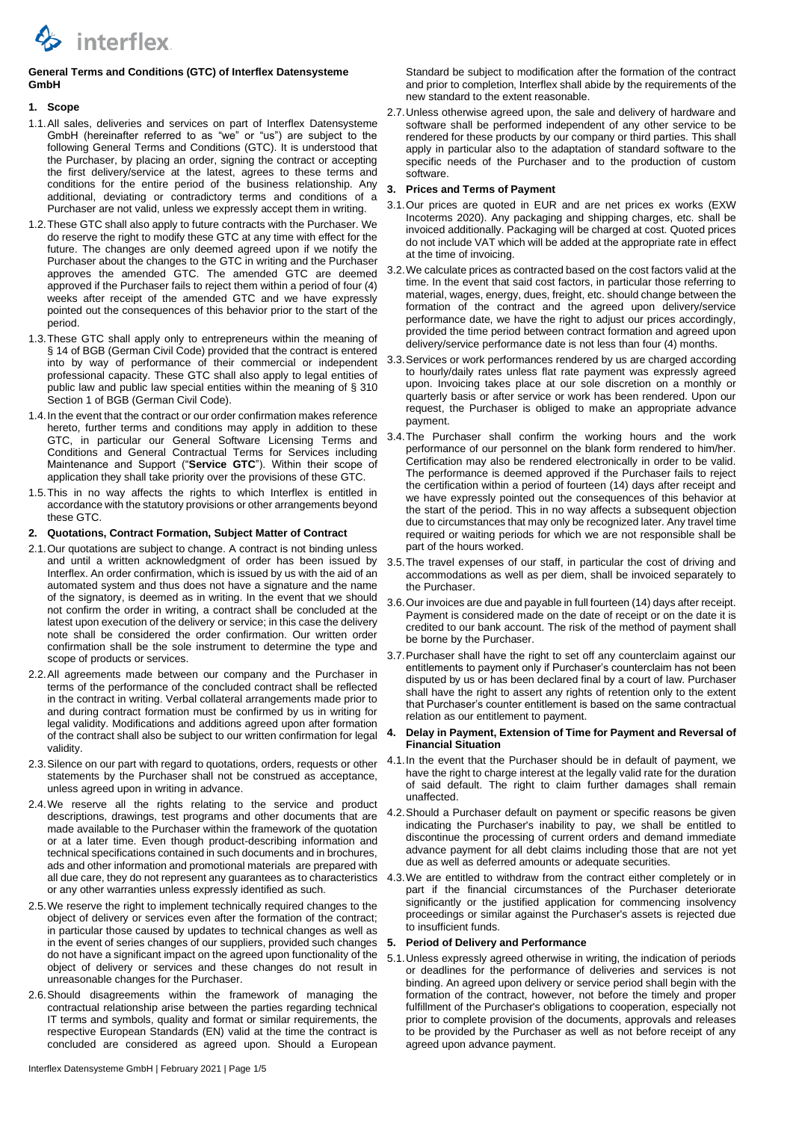

# **General Terms and Conditions (GTC) of Interflex Datensysteme GmbH**

# **1. Scope**

- 1.1.All sales, deliveries and services on part of Interflex Datensysteme GmbH (hereinafter referred to as "we" or "us") are subject to the following General Terms and Conditions (GTC). It is understood that the Purchaser, by placing an order, signing the contract or accepting the first delivery/service at the latest, agrees to these terms and conditions for the entire period of the business relationship. Any additional, deviating or contradictory terms and conditions of a Purchaser are not valid, unless we expressly accept them in writing.
- 1.2.These GTC shall also apply to future contracts with the Purchaser. We do reserve the right to modify these GTC at any time with effect for the future. The changes are only deemed agreed upon if we notify the Purchaser about the changes to the GTC in writing and the Purchaser approves the amended GTC. The amended GTC are deemed approved if the Purchaser fails to reject them within a period of four (4) weeks after receipt of the amended GTC and we have expressly pointed out the consequences of this behavior prior to the start of the period.
- 1.3.These GTC shall apply only to entrepreneurs within the meaning of § 14 of BGB (German Civil Code) provided that the contract is entered into by way of performance of their commercial or independent professional capacity. These GTC shall also apply to legal entities of public law and public law special entities within the meaning of § 310 Section 1 of BGB (German Civil Code).
- 1.4.In the event that the contract or our order confirmation makes reference hereto, further terms and conditions may apply in addition to these GTC, in particular our General Software Licensing Terms and Conditions and General Contractual Terms for Services including Maintenance and Support ("**Service GTC**"). Within their scope of application they shall take priority over the provisions of these GTC.
- 1.5.This in no way affects the rights to which Interflex is entitled in accordance with the statutory provisions or other arrangements beyond these GTC.

# **2. Quotations, Contract Formation, Subject Matter of Contract**

- 2.1.Our quotations are subject to change. A contract is not binding unless and until a written acknowledgment of order has been issued by Interflex. An order confirmation, which is issued by us with the aid of an automated system and thus does not have a signature and the name of the signatory, is deemed as in writing. In the event that we should not confirm the order in writing, a contract shall be concluded at the latest upon execution of the delivery or service; in this case the delivery note shall be considered the order confirmation. Our written order confirmation shall be the sole instrument to determine the type and scope of products or services.
- 2.2.All agreements made between our company and the Purchaser in terms of the performance of the concluded contract shall be reflected in the contract in writing. Verbal collateral arrangements made prior to and during contract formation must be confirmed by us in writing for legal validity. Modifications and additions agreed upon after formation of the contract shall also be subject to our written confirmation for legal validity.
- 2.3.Silence on our part with regard to quotations, orders, requests or other statements by the Purchaser shall not be construed as acceptance, unless agreed upon in writing in advance.
- 2.4.We reserve all the rights relating to the service and product descriptions, drawings, test programs and other documents that are made available to the Purchaser within the framework of the quotation or at a later time. Even though product-describing information and technical specifications contained in such documents and in brochures, ads and other information and promotional materials are prepared with all due care, they do not represent any guarantees as to characteristics or any other warranties unless expressly identified as such.
- 2.5.We reserve the right to implement technically required changes to the object of delivery or services even after the formation of the contract; in particular those caused by updates to technical changes as well as in the event of series changes of our suppliers, provided such changes do not have a significant impact on the agreed upon functionality of the object of delivery or services and these changes do not result in unreasonable changes for the Purchaser.
- 2.6.Should disagreements within the framework of managing the contractual relationship arise between the parties regarding technical IT terms and symbols, quality and format or similar requirements, the respective European Standards (EN) valid at the time the contract is concluded are considered as agreed upon. Should a European

Standard be subject to modification after the formation of the contract and prior to completion, Interflex shall abide by the requirements of the new standard to the extent reasonable.

2.7.Unless otherwise agreed upon, the sale and delivery of hardware and software shall be performed independent of any other service to be rendered for these products by our company or third parties. This shall apply in particular also to the adaptation of standard software to the specific needs of the Purchaser and to the production of custom software.

# **3. Prices and Terms of Payment**

- 3.1.Our prices are quoted in EUR and are net prices ex works (EXW Incoterms 2020). Any packaging and shipping charges, etc. shall be invoiced additionally. Packaging will be charged at cost. Quoted prices do not include VAT which will be added at the appropriate rate in effect at the time of invoicing.
- 3.2.We calculate prices as contracted based on the cost factors valid at the time. In the event that said cost factors, in particular those referring to material, wages, energy, dues, freight, etc. should change between the formation of the contract and the agreed upon delivery/service performance date, we have the right to adjust our prices accordingly, provided the time period between contract formation and agreed upon delivery/service performance date is not less than four (4) months.
- 3.3.Services or work performances rendered by us are charged according to hourly/daily rates unless flat rate payment was expressly agreed upon. Invoicing takes place at our sole discretion on a monthly or quarterly basis or after service or work has been rendered. Upon our request, the Purchaser is obliged to make an appropriate advance payment.
- 3.4.The Purchaser shall confirm the working hours and the work performance of our personnel on the blank form rendered to him/her. Certification may also be rendered electronically in order to be valid. The performance is deemed approved if the Purchaser fails to reject the certification within a period of fourteen (14) days after receipt and we have expressly pointed out the consequences of this behavior at the start of the period. This in no way affects a subsequent objection due to circumstances that may only be recognized later. Any travel time required or waiting periods for which we are not responsible shall be part of the hours worked.
- 3.5.The travel expenses of our staff, in particular the cost of driving and accommodations as well as per diem, shall be invoiced separately to the Purchaser.
- 3.6.Our invoices are due and payable in full fourteen (14) days after receipt. Payment is considered made on the date of receipt or on the date it is credited to our bank account. The risk of the method of payment shall be borne by the Purchaser.
- 3.7. Purchaser shall have the right to set off any counterclaim against our entitlements to payment only if Purchaser's counterclaim has not been disputed by us or has been declared final by a court of law. Purchaser shall have the right to assert any rights of retention only to the extent that Purchaser's counter entitlement is based on the same contractual relation as our entitlement to payment.
- **4. Delay in Payment, Extension of Time for Payment and Reversal of Financial Situation**
- 4.1.In the event that the Purchaser should be in default of payment, we have the right to charge interest at the legally valid rate for the duration of said default. The right to claim further damages shall remain unaffected.
- 4.2.Should a Purchaser default on payment or specific reasons be given indicating the Purchaser's inability to pay, we shall be entitled to discontinue the processing of current orders and demand immediate advance payment for all debt claims including those that are not yet due as well as deferred amounts or adequate securities.
- 4.3.We are entitled to withdraw from the contract either completely or in part if the financial circumstances of the Purchaser deteriorate significantly or the justified application for commencing insolvency proceedings or similar against the Purchaser's assets is rejected due to insufficient funds.

#### **5. Period of Delivery and Performance**

5.1.Unless expressly agreed otherwise in writing, the indication of periods or deadlines for the performance of deliveries and services is not binding. An agreed upon delivery or service period shall begin with the formation of the contract, however, not before the timely and proper fulfillment of the Purchaser's obligations to cooperation, especially not prior to complete provision of the documents, approvals and releases to be provided by the Purchaser as well as not before receipt of any agreed upon advance payment.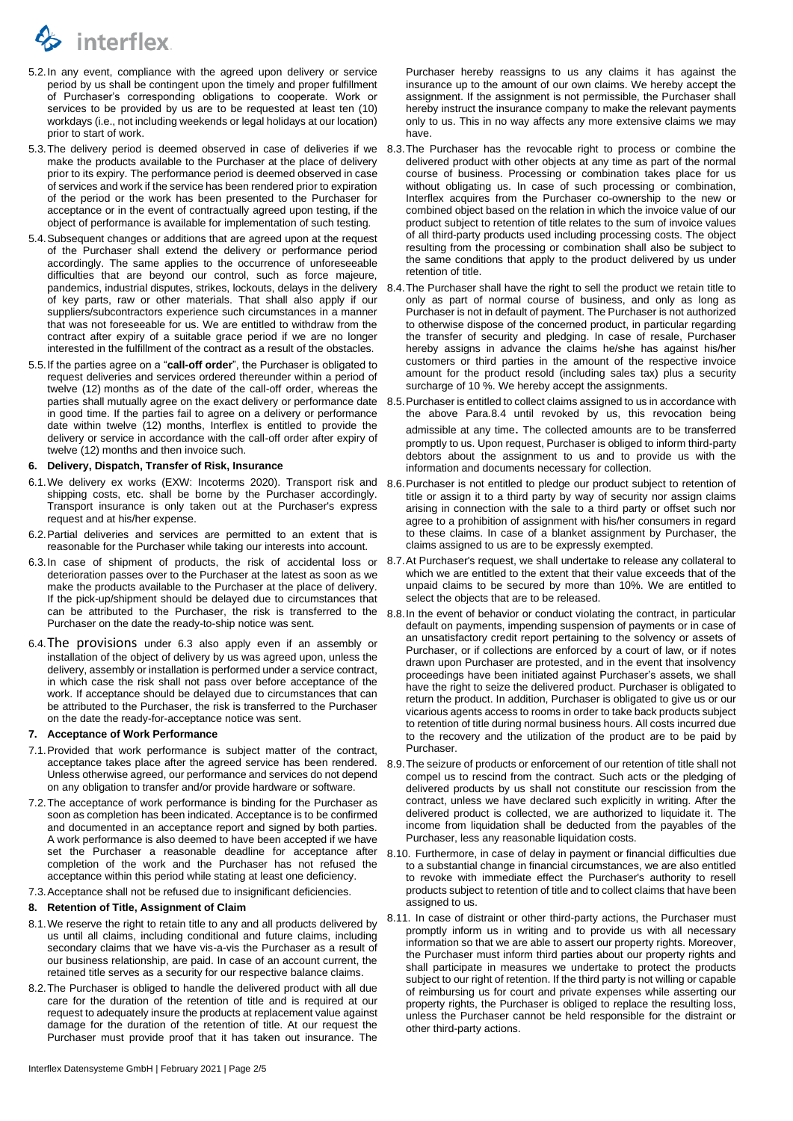

- 5.2.In any event, compliance with the agreed upon delivery or service period by us shall be contingent upon the timely and proper fulfillment of Purchaser's corresponding obligations to cooperate. Work or services to be provided by us are to be requested at least ten (10) workdays (i.e., not including weekends or legal holidays at our location) prior to start of work.
- 5.3.The delivery period is deemed observed in case of deliveries if we make the products available to the Purchaser at the place of delivery prior to its expiry. The performance period is deemed observed in case of services and work if the service has been rendered prior to expiration of the period or the work has been presented to the Purchaser for acceptance or in the event of contractually agreed upon testing, if the object of performance is available for implementation of such testing.
- 5.4.Subsequent changes or additions that are agreed upon at the request of the Purchaser shall extend the delivery or performance period accordingly. The same applies to the occurrence of unforeseeable difficulties that are beyond our control, such as force majeure, pandemics, industrial disputes, strikes, lockouts, delays in the delivery of key parts, raw or other materials. That shall also apply if our suppliers/subcontractors experience such circumstances in a manner that was not foreseeable for us. We are entitled to withdraw from the contract after expiry of a suitable grace period if we are no longer interested in the fulfillment of the contract as a result of the obstacles.
- 5.5.If the parties agree on a "**call-off order**", the Purchaser is obligated to request deliveries and services ordered thereunder within a period of twelve (12) months as of the date of the call-off order, whereas the parties shall mutually agree on the exact delivery or performance date in good time. If the parties fail to agree on a delivery or performance date within twelve (12) months, Interflex is entitled to provide the delivery or service in accordance with the call-off order after expiry of twelve (12) months and then invoice such.

#### **6. Delivery, Dispatch, Transfer of Risk, Insurance**

- 6.1.We delivery ex works (EXW: Incoterms 2020). Transport risk and shipping costs, etc. shall be borne by the Purchaser accordingly. Transport insurance is only taken out at the Purchaser's express request and at his/her expense.
- 6.2.Partial deliveries and services are permitted to an extent that is reasonable for the Purchaser while taking our interests into account.
- <span id="page-1-0"></span>6.3.In case of shipment of products, the risk of accidental loss or 8.7.At Purchaser's request, we shall undertake to release any collateral to deterioration passes over to the Purchaser at the latest as soon as we make the products available to the Purchaser at the place of delivery. If the pick-up/shipment should be delayed due to circumstances that can be attributed to the Purchaser, the risk is transferred to the Purchaser on the date the ready-to-ship notice was sent.
- 6.4.The provisions under [6.3](#page-1-0) also apply even if an assembly or installation of the object of delivery by us was agreed upon, unless the delivery, assembly or installation is performed under a service contract, in which case the risk shall not pass over before acceptance of the work. If acceptance should be delayed due to circumstances that can be attributed to the Purchaser, the risk is transferred to the Purchaser on the date the ready-for-acceptance notice was sent.

### **7. Acceptance of Work Performance**

- 7.1.Provided that work performance is subject matter of the contract, acceptance takes place after the agreed service has been rendered. Unless otherwise agreed, our performance and services do not depend on any obligation to transfer and/or provide hardware or software.
- 7.2.The acceptance of work performance is binding for the Purchaser as soon as completion has been indicated. Acceptance is to be confirmed and documented in an acceptance report and signed by both parties. A work performance is also deemed to have been accepted if we have set the Purchaser a reasonable deadline for acceptance after completion of the work and the Purchaser has not refused the acceptance within this period while stating at least one deficiency.
- 7.3.Acceptance shall not be refused due to insignificant deficiencies.

## **8. Retention of Title, Assignment of Claim**

- 8.1.We reserve the right to retain title to any and all products delivered by us until all claims, including conditional and future claims, including secondary claims that we have vis-a-vis the Purchaser as a result of our business relationship, are paid. In case of an account current, the retained title serves as a security for our respective balance claims.
- 8.2.The Purchaser is obliged to handle the delivered product with all due care for the duration of the retention of title and is required at our request to adequately insure the products at replacement value against damage for the duration of the retention of title. At our request the Purchaser must provide proof that it has taken out insurance. The

Purchaser hereby reassigns to us any claims it has against the insurance up to the amount of our own claims. We hereby accept the assignment. If the assignment is not permissible, the Purchaser shall hereby instruct the insurance company to make the relevant payments only to us. This in no way affects any more extensive claims we may have.

- 8.3.The Purchaser has the revocable right to process or combine the delivered product with other objects at any time as part of the normal course of business. Processing or combination takes place for us without obligating us. In case of such processing or combination, Interflex acquires from the Purchaser co-ownership to the new or combined object based on the relation in which the invoice value of our product subject to retention of title relates to the sum of invoice values of all third-party products used including processing costs. The object resulting from the processing or combination shall also be subject to the same conditions that apply to the product delivered by us under retention of title.
- <span id="page-1-1"></span>8.4.The Purchaser shall have the right to sell the product we retain title to only as part of normal course of business, and only as long as Purchaser is not in default of payment. The Purchaser is not authorized to otherwise dispose of the concerned product, in particular regarding the transfer of security and pledging. In case of resale, Purchaser hereby assigns in advance the claims he/she has against his/her customers or third parties in the amount of the respective invoice amount for the product resold (including sales tax) plus a security surcharge of 10 %. We hereby accept the assignments.
- 8.5.Purchaser is entitled to collect claims assigned to us in accordance with the above Para[.8.4](#page-1-1) until revoked by us, this revocation being admissible at any time. The collected amounts are to be transferred promptly to us. Upon request, Purchaser is obliged to inform third-party debtors about the assignment to us and to provide us with the information and documents necessary for collection.
- 8.6.Purchaser is not entitled to pledge our product subject to retention of title or assign it to a third party by way of security nor assign claims arising in connection with the sale to a third party or offset such nor agree to a prohibition of assignment with his/her consumers in regard to these claims. In case of a blanket assignment by Purchaser, the claims assigned to us are to be expressly exempted.
- which we are entitled to the extent that their value exceeds that of the unpaid claims to be secured by more than 10%. We are entitled to select the objects that are to be released.
- 8.8.In the event of behavior or conduct violating the contract, in particular default on payments, impending suspension of payments or in case of an unsatisfactory credit report pertaining to the solvency or assets of Purchaser, or if collections are enforced by a court of law, or if notes drawn upon Purchaser are protested, and in the event that insolvency proceedings have been initiated against Purchaser's assets, we shall have the right to seize the delivered product. Purchaser is obligated to return the product. In addition, Purchaser is obligated to give us or our vicarious agents access to rooms in order to take back products subject to retention of title during normal business hours. All costs incurred due to the recovery and the utilization of the product are to be paid by Purchaser.
- 8.9.The seizure of products or enforcement of our retention of title shall not compel us to rescind from the contract. Such acts or the pledging of delivered products by us shall not constitute our rescission from the contract, unless we have declared such explicitly in writing. After the delivered product is collected, we are authorized to liquidate it. The income from liquidation shall be deducted from the payables of the Purchaser, less any reasonable liquidation costs.
- 8.10. Furthermore, in case of delay in payment or financial difficulties due to a substantial change in financial circumstances, we are also entitled to revoke with immediate effect the Purchaser's authority to resell products subject to retention of title and to collect claims that have been assigned to us.
- 8.11. In case of distraint or other third-party actions, the Purchaser must promptly inform us in writing and to provide us with all necessary information so that we are able to assert our property rights. Moreover, the Purchaser must inform third parties about our property rights and shall participate in measures we undertake to protect the products subject to our right of retention. If the third party is not willing or capable of reimbursing us for court and private expenses while asserting our property rights, the Purchaser is obliged to replace the resulting loss, unless the Purchaser cannot be held responsible for the distraint or other third-party actions.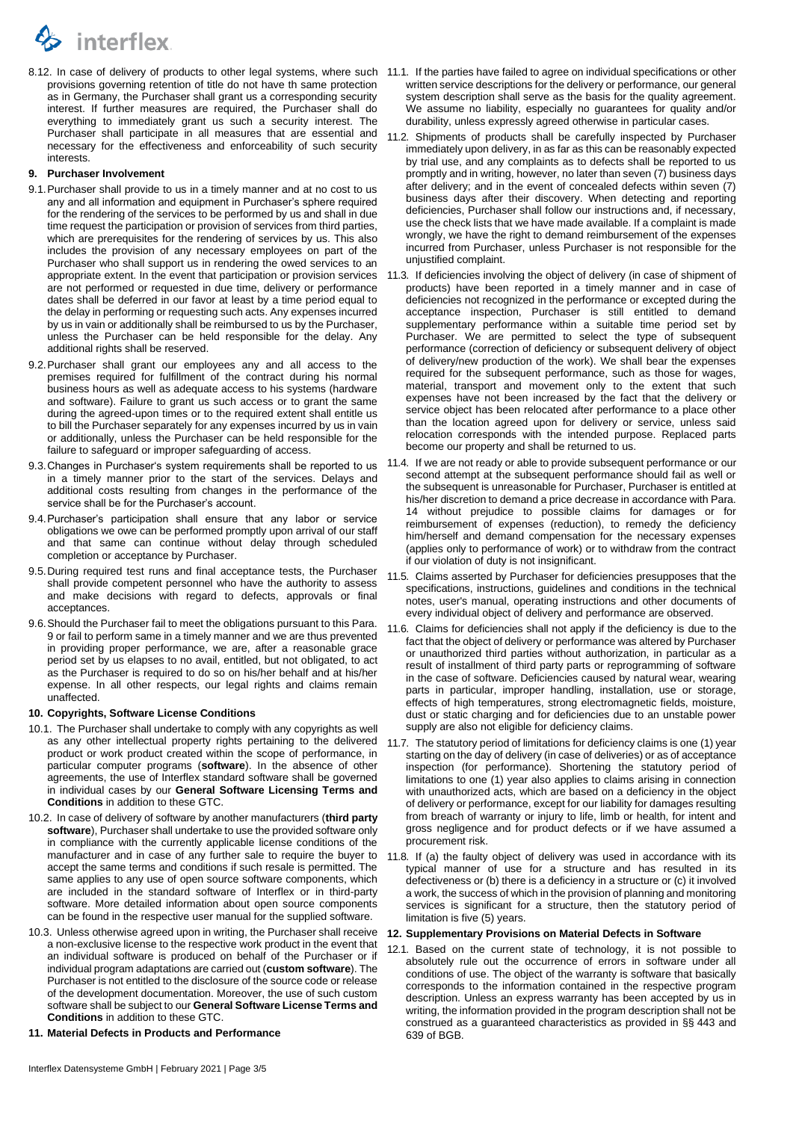

provisions governing retention of title do not have th same protection as in Germany, the Purchaser shall grant us a corresponding security interest. If further measures are required, the Purchaser shall do everything to immediately grant us such a security interest. The Purchaser shall participate in all measures that are essential and necessary for the effectiveness and enforceability of such security interests.

# <span id="page-2-0"></span>**9. Purchaser Involvement**

- 9.1.Purchaser shall provide to us in a timely manner and at no cost to us any and all information and equipment in Purchaser's sphere required for the rendering of the services to be performed by us and shall in due time request the participation or provision of services from third parties, which are prerequisites for the rendering of services by us. This also includes the provision of any necessary employees on part of the Purchaser who shall support us in rendering the owed services to an appropriate extent. In the event that participation or provision services are not performed or requested in due time, delivery or performance dates shall be deferred in our favor at least by a time period equal to the delay in performing or requesting such acts. Any expenses incurred by us in vain or additionally shall be reimbursed to us by the Purchaser, unless the Purchaser can be held responsible for the delay. Any additional rights shall be reserved.
- 9.2.Purchaser shall grant our employees any and all access to the premises required for fulfillment of the contract during his normal business hours as well as adequate access to his systems (hardware and software). Failure to grant us such access or to grant the same during the agreed-upon times or to the required extent shall entitle us to bill the Purchaser separately for any expenses incurred by us in vain or additionally, unless the Purchaser can be held responsible for the failure to safeguard or improper safeguarding of access.
- 9.3.Changes in Purchaser's system requirements shall be reported to us in a timely manner prior to the start of the services. Delays and additional costs resulting from changes in the performance of the service shall be for the Purchaser's account.
- 9.4.Purchaser's participation shall ensure that any labor or service obligations we owe can be performed promptly upon arrival of our staff and that same can continue without delay through scheduled completion or acceptance by Purchaser.
- 9.5.During required test runs and final acceptance tests, the Purchaser shall provide competent personnel who have the authority to assess and make decisions with regard to defects, approvals or final acceptances.
- 9.6.Should the Purchaser fail to meet the obligations pursuant to this Para. [9](#page-2-0) or fail to perform same in a timely manner and we are thus prevented in providing proper performance, we are, after a reasonable grace period set by us elapses to no avail, entitled, but not obligated, to act as the Purchaser is required to do so on his/her behalf and at his/her expense. In all other respects, our legal rights and claims remain unaffected.

### **10. Copyrights, Software License Conditions**

- 10.1. The Purchaser shall undertake to comply with any copyrights as well as any other intellectual property rights pertaining to the delivered product or work product created within the scope of performance, in particular computer programs (**software**). In the absence of other agreements, the use of Interflex standard software shall be governed in individual cases by our **General Software Licensing Terms and Conditions** in addition to these GTC.
- 10.2. In case of delivery of software by another manufacturers (**third party software**), Purchaser shall undertake to use the provided software only in compliance with the currently applicable license conditions of the manufacturer and in case of any further sale to require the buyer to accept the same terms and conditions if such resale is permitted. The same applies to any use of open source software components, which are included in the standard software of Interflex or in third-party software. More detailed information about open source components can be found in the respective user manual for the supplied software.
- 10.3. Unless otherwise agreed upon in writing, the Purchaser shall receive a non-exclusive license to the respective work product in the event that an individual software is produced on behalf of the Purchaser or if individual program adaptations are carried out (**custom software**). The Purchaser is not entitled to the disclosure of the source code or release of the development documentation. Moreover, the use of such custom software shall be subject to our **General Software License Terms and Conditions** in addition to these GTC.
- **11. Material Defects in Products and Performance**
- 8.12. In case of delivery of products to other legal systems, where such 11.1. If the parties have failed to agree on individual specifications or other written service descriptions for the delivery or performance, our general system description shall serve as the basis for the quality agreement. We assume no liability, especially no guarantees for quality and/or durability, unless expressly agreed otherwise in particular cases.
	- 11.2. Shipments of products shall be carefully inspected by Purchaser immediately upon delivery, in as far as this can be reasonably expected by trial use, and any complaints as to defects shall be reported to us promptly and in writing, however, no later than seven (7) business days after delivery; and in the event of concealed defects within seven (7) business days after their discovery. When detecting and reporting deficiencies, Purchaser shall follow our instructions and, if necessary, use the check lists that we have made available. If a complaint is made wrongly, we have the right to demand reimbursement of the expenses incurred from Purchaser, unless Purchaser is not responsible for the unjustified complaint.
	- 11.3. If deficiencies involving the object of delivery (in case of shipment of products) have been reported in a timely manner and in case of deficiencies not recognized in the performance or excepted during the acceptance inspection, Purchaser is still entitled to demand supplementary performance within a suitable time period set by Purchaser. We are permitted to select the type of subsequent performance (correction of deficiency or subsequent delivery of object of delivery/new production of the work). We shall bear the expenses required for the subsequent performance, such as those for wages, material, transport and movement only to the extent that such expenses have not been increased by the fact that the delivery or service object has been relocated after performance to a place other than the location agreed upon for delivery or service, unless said relocation corresponds with the intended purpose. Replaced parts become our property and shall be returned to us.
	- 11.4. If we are not ready or able to provide subsequent performance or our second attempt at the subsequent performance should fail as well or the subsequent is unreasonable for Purchaser, Purchaser is entitled at his/her discretion to demand a price decrease in accordance with Para. [14](#page-3-0) without prejudice to possible claims for damages or for reimbursement of expenses (reduction), to remedy the deficiency him/herself and demand compensation for the necessary expenses (applies only to performance of work) or to withdraw from the contract if our violation of duty is not insignificant.
	- 11.5. Claims asserted by Purchaser for deficiencies presupposes that the specifications, instructions, guidelines and conditions in the technical notes, user's manual, operating instructions and other documents of every individual object of delivery and performance are observed.
	- 11.6. Claims for deficiencies shall not apply if the deficiency is due to the fact that the object of delivery or performance was altered by Purchaser or unauthorized third parties without authorization, in particular as a result of installment of third party parts or reprogramming of software in the case of software. Deficiencies caused by natural wear, wearing parts in particular, improper handling, installation, use or storage, effects of high temperatures, strong electromagnetic fields, moisture, dust or static charging and for deficiencies due to an unstable power supply are also not eligible for deficiency claims.
	- 11.7. The statutory period of limitations for deficiency claims is one (1) year starting on the day of delivery (in case of deliveries) or as of acceptance inspection (for performance). Shortening the statutory period of limitations to one (1) year also applies to claims arising in connection with unauthorized acts, which are based on a deficiency in the object of delivery or performance, except for our liability for damages resulting from breach of warranty or injury to life, limb or health, for intent and gross negligence and for product defects or if we have assumed a procurement risk.
	- 11.8. If (a) the faulty object of delivery was used in accordance with its typical manner of use for a structure and has resulted in its defectiveness or (b) there is a deficiency in a structure or (c) it involved a work, the success of which in the provision of planning and monitoring services is significant for a structure, then the statutory period of limitation is five (5) years.

#### <span id="page-2-1"></span>**12. Supplementary Provisions on Material Defects in Software**

12.1. Based on the current state of technology, it is not possible to absolutely rule out the occurrence of errors in software under all conditions of use. The object of the warranty is software that basically corresponds to the information contained in the respective program description. Unless an express warranty has been accepted by us in writing, the information provided in the program description shall not be construed as a guaranteed characteristics as provided in §§ 443 and 639 of BGB.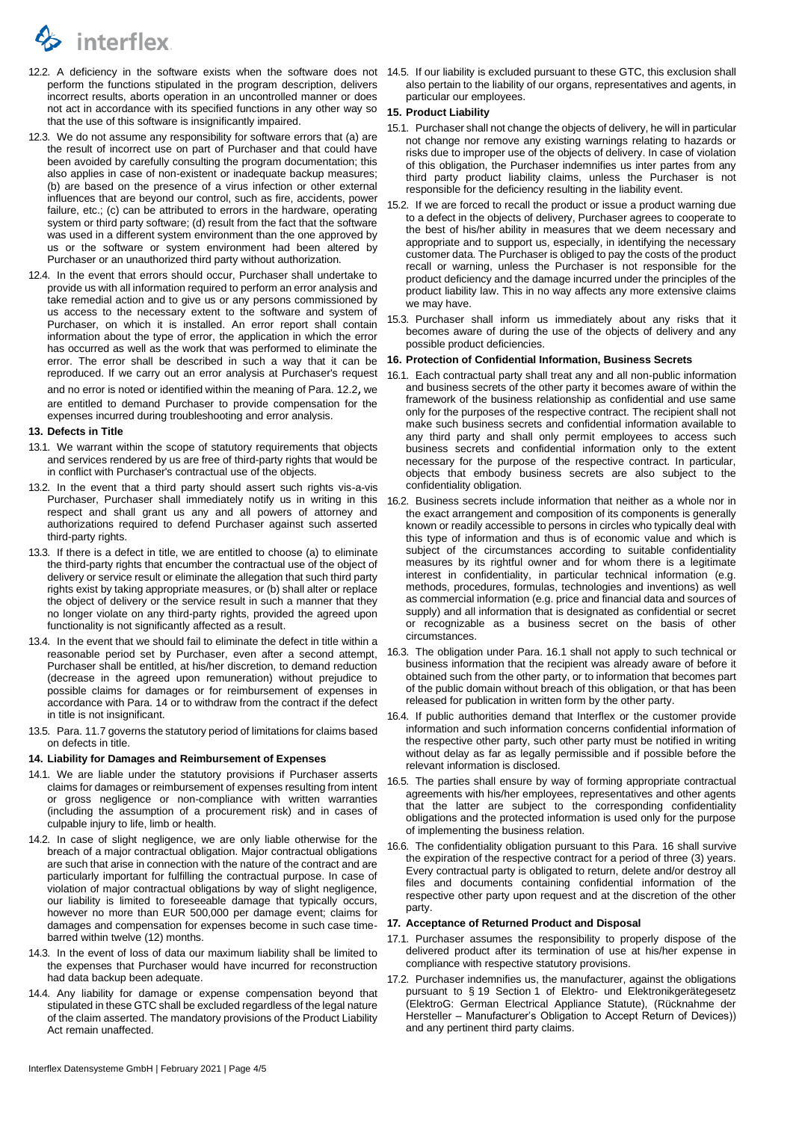

- <span id="page-3-1"></span>12.2. A deficiency in the software exists when the software does not perform the functions stipulated in the program description, delivers incorrect results, aborts operation in an uncontrolled manner or does not act in accordance with its specified functions in any other way so that the use of this software is insignificantly impaired.
- 12.3. We do not assume any responsibility for software errors that (a) are the result of incorrect use on part of Purchaser and that could have been avoided by carefully consulting the program documentation; this also applies in case of non-existent or inadequate backup measures; (b) are based on the presence of a virus infection or other external influences that are beyond our control, such as fire, accidents, power failure, etc.; (c) can be attributed to errors in the hardware, operating system or third party software; (d) result from the fact that the software was used in a different system environment than the one approved by us or the software or system environment had been altered by Purchaser or an unauthorized third party without authorization.
- 12.4. In the event that errors should occur, Purchaser shall undertake to provide us with all information required to perform an error analysis and take remedial action and to give us or any persons commissioned by us access to the necessary extent to the software and system of Purchaser, on which it is installed. An error report shall contain information about the type of error, the application in which the error has occurred as well as the work that was performed to eliminate the error. The error shall be described in such a way that it can be reproduced. If we carry out an error analysis at Purchaser's request and no error is noted or identified within the meaning of Para. [12.2](#page-3-1), we are entitled to demand Purchaser to provide compensation for the expenses incurred during troubleshooting and error analysis.

#### **13. Defects in Title**

- 13.1. We warrant within the scope of statutory requirements that objects and services rendered by us are free of third-party rights that would be in conflict with Purchaser's contractual use of the objects.
- 13.2. In the event that a third party should assert such rights vis-a-vis Purchaser, Purchaser shall immediately notify us in writing in this respect and shall grant us any and all powers of attorney and authorizations required to defend Purchaser against such asserted third-party rights.
- 13.3. If there is a defect in title, we are entitled to choose (a) to eliminate the third-party rights that encumber the contractual use of the object of delivery or service result or eliminate the allegation that such third party rights exist by taking appropriate measures, or (b) shall alter or replace the object of delivery or the service result in such a manner that they no longer violate on any third-party rights, provided the agreed upon functionality is not significantly affected as a result.
- 13.4. In the event that we should fail to eliminate the defect in title within a reasonable period set by Purchaser, even after a second attempt, Purchaser shall be entitled, at his/her discretion, to demand reduction (decrease in the agreed upon remuneration) without prejudice to possible claims for damages or for reimbursement of expenses in accordance with Para. [14](#page-3-0) or to withdraw from the contract if the defect in title is not insignificant.
- 13.5. Para. [11.7](#page-2-1) governs the statutory period of limitations for claims based on defects in title.

#### <span id="page-3-0"></span>**14. Liability for Damages and Reimbursement of Expenses**

- 14.1. We are liable under the statutory provisions if Purchaser asserts claims for damages or reimbursement of expenses resulting from intent or gross negligence or non-compliance with written warranties (including the assumption of a procurement risk) and in cases of culpable injury to life, limb or health.
- 14.2. In case of slight negligence, we are only liable otherwise for the breach of a major contractual obligation. Major contractual obligations are such that arise in connection with the nature of the contract and are particularly important for fulfilling the contractual purpose. In case of violation of major contractual obligations by way of slight negligence, our liability is limited to foreseeable damage that typically occurs, however no more than EUR 500,000 per damage event; claims for damages and compensation for expenses become in such case timebarred within twelve (12) months.
- 14.3. In the event of loss of data our maximum liability shall be limited to the expenses that Purchaser would have incurred for reconstruction had data backup been adequate.
- 14.4. Any liability for damage or expense compensation beyond that stipulated in these GTC shall be excluded regardless of the legal nature of the claim asserted. The mandatory provisions of the Product Liability Act remain unaffected.

14.5. If our liability is excluded pursuant to these GTC, this exclusion shall also pertain to the liability of our organs, representatives and agents, in particular our employees.

#### **15. Product Liability**

- 15.1. Purchaser shall not change the objects of delivery, he will in particular not change nor remove any existing warnings relating to hazards or risks due to improper use of the objects of delivery. In case of violation of this obligation, the Purchaser indemnifies us inter partes from any third party product liability claims, unless the Purchaser is not responsible for the deficiency resulting in the liability event.
- 15.2. If we are forced to recall the product or issue a product warning due to a defect in the objects of delivery, Purchaser agrees to cooperate to the best of his/her ability in measures that we deem necessary and appropriate and to support us, especially, in identifying the necessary customer data. The Purchaser is obliged to pay the costs of the product recall or warning, unless the Purchaser is not responsible for the product deficiency and the damage incurred under the principles of the product liability law. This in no way affects any more extensive claims we may have.
- 15.3. Purchaser shall inform us immediately about any risks that it becomes aware of during the use of the objects of delivery and any possible product deficiencies.

#### <span id="page-3-3"></span>**16. Protection of Confidential Information, Business Secrets**

- <span id="page-3-2"></span>16.1. Each contractual party shall treat any and all non-public information and business secrets of the other party it becomes aware of within the framework of the business relationship as confidential and use same only for the purposes of the respective contract. The recipient shall not make such business secrets and confidential information available to any third party and shall only permit employees to access such business secrets and confidential information only to the extent necessary for the purpose of the respective contract. In particular, objects that embody business secrets are also subject to the confidentiality obligation.
- 16.2. Business secrets include information that neither as a whole nor in the exact arrangement and composition of its components is generally known or readily accessible to persons in circles who typically deal with this type of information and thus is of economic value and which is subject of the circumstances according to suitable confidentiality measures by its rightful owner and for whom there is a legitimate interest in confidentiality, in particular technical information (e.g. methods, procedures, formulas, technologies and inventions) as well as commercial information (e.g. price and financial data and sources of supply) and all information that is designated as confidential or secret or recognizable as a business secret on the basis of other circumstances.
- 16.3. The obligation under Para. [16.1](#page-3-2) shall not apply to such technical or business information that the recipient was already aware of before it obtained such from the other party, or to information that becomes part of the public domain without breach of this obligation, or that has been released for publication in written form by the other party.
- 16.4. If public authorities demand that Interflex or the customer provide information and such information concerns confidential information of the respective other party, such other party must be notified in writing without delay as far as legally permissible and if possible before the relevant information is disclosed.
- 16.5. The parties shall ensure by way of forming appropriate contractual agreements with his/her employees, representatives and other agents that the latter are subject to the corresponding confidentiality obligations and the protected information is used only for the purpose of implementing the business relation.
- 16.6. The confidentiality obligation pursuant to this Para[. 16](#page-3-3) shall survive the expiration of the respective contract for a period of three (3) years. Every contractual party is obligated to return, delete and/or destroy all files and documents containing confidential information of the respective other party upon request and at the discretion of the other party.

# <span id="page-3-4"></span>**17. Acceptance of Returned Product and Disposal**

- 17.1. Purchaser assumes the responsibility to properly dispose of the delivered product after its termination of use at his/her expense in compliance with respective statutory provisions.
- 17.2. Purchaser indemnifies us, the manufacturer, against the obligations pursuant to § 19 Section 1 of Elektro- und Elektronikgerätegesetz (ElektroG: German Electrical Appliance Statute), (Rücknahme der Hersteller – Manufacturer's Obligation to Accept Return of Devices)) and any pertinent third party claims.